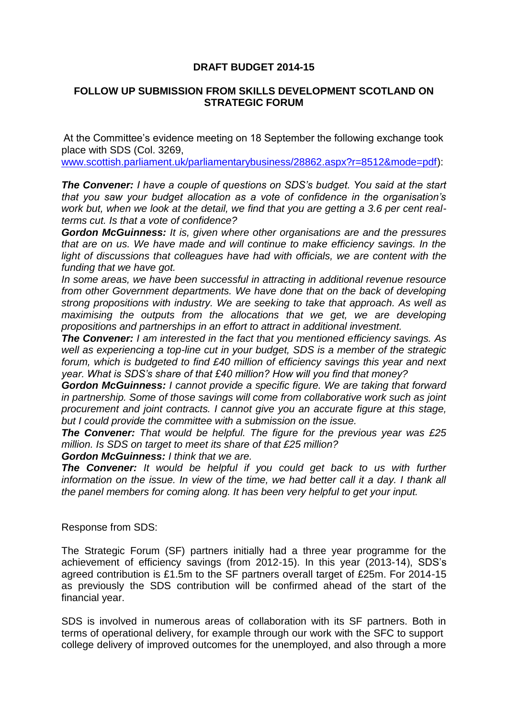## **DRAFT BUDGET 2014-15**

## **FOLLOW UP SUBMISSION FROM SKILLS DEVELOPMENT SCOTLAND ON STRATEGIC FORUM**

At the Committee's evidence meeting on 18 September the following exchange took place with SDS (Col. 3269,

[www.scottish.parliament.uk/parliamentarybusiness/28862.aspx?r=8512&mode=pdf\)](http://www.scottish.parliament.uk/parliamentarybusiness/28862.aspx?r=8512&mode=pdf):

*The Convener: I have a couple of questions on SDS's budget. You said at the start that you saw your budget allocation as a vote of confidence in the organisation's work but, when we look at the detail, we find that you are getting a 3.6 per cent realterms cut. Is that a vote of confidence?* 

*Gordon McGuinness: It is, given where other organisations are and the pressures that are on us. We have made and will continue to make efficiency savings. In the*  light of discussions that colleagues have had with officials, we are content with the *funding that we have got.* 

*In some areas, we have been successful in attracting in additional revenue resource from other Government departments. We have done that on the back of developing strong propositions with industry. We are seeking to take that approach. As well as maximising the outputs from the allocations that we get, we are developing propositions and partnerships in an effort to attract in additional investment.* 

*The Convener: I am interested in the fact that you mentioned efficiency savings. As well as experiencing a top-line cut in your budget, SDS is a member of the strategic forum, which is budgeted to find £40 million of efficiency savings this year and next year. What is SDS's share of that £40 million? How will you find that money?* 

*Gordon McGuinness: I cannot provide a specific figure. We are taking that forward in partnership. Some of those savings will come from collaborative work such as joint procurement and joint contracts. I cannot give you an accurate figure at this stage, but I could provide the committee with a submission on the issue.* 

*The Convener: That would be helpful. The figure for the previous year was £25 million. Is SDS on target to meet its share of that £25 million?* 

*Gordon McGuinness: I think that we are.* 

*The Convener: It would be helpful if you could get back to us with further*  information on the issue. In view of the time, we had better call it a day. I thank all *the panel members for coming along. It has been very helpful to get your input.*

Response from SDS:

The Strategic Forum (SF) partners initially had a three year programme for the achievement of efficiency savings (from 2012-15). In this year (2013-14), SDS's agreed contribution is £1.5m to the SF partners overall target of £25m. For 2014-15 as previously the SDS contribution will be confirmed ahead of the start of the financial year.

SDS is involved in numerous areas of collaboration with its SF partners. Both in terms of operational delivery, for example through our work with the SFC to support college delivery of improved outcomes for the unemployed, and also through a more